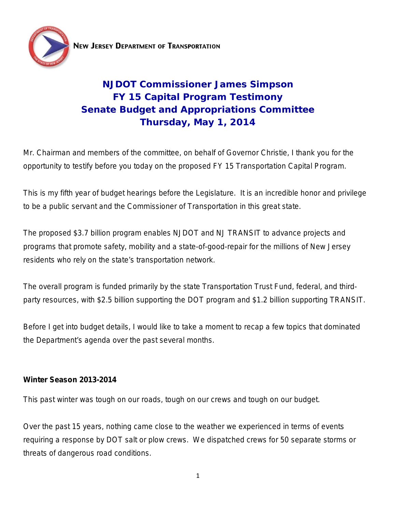

# **NJDOT Commissioner James Simpson FY 15 Capital Program Testimony Senate Budget and Appropriations Committee Thursday, May 1, 2014**

Mr. Chairman and members of the committee, on behalf of Governor Christie, I thank you for the opportunity to testify before you today on the proposed FY 15 Transportation Capital Program.

This is my fifth year of budget hearings before the Legislature. It is an incredible honor and privilege to be a public servant and the Commissioner of Transportation in this great state.

The proposed \$3.7 billion program enables NJDOT and NJ TRANSIT to advance projects and programs that promote safety, mobility and a state-of-good-repair for the millions of New Jersey residents who rely on the state's transportation network.

The overall program is funded primarily by the state Transportation Trust Fund, federal, and thirdparty resources, with \$2.5 billion supporting the DOT program and \$1.2 billion supporting TRANSIT.

Before I get into budget details, I would like to take a moment to recap a few topics that dominated the Department's agenda over the past several months.

## **Winter Season 2013-2014**

This past winter was tough on our roads, tough on our crews and tough on our budget.

Over the past 15 years, nothing came close to the weather we experienced in terms of events requiring a response by DOT salt or plow crews. We dispatched crews for 50 separate storms or threats of dangerous road conditions.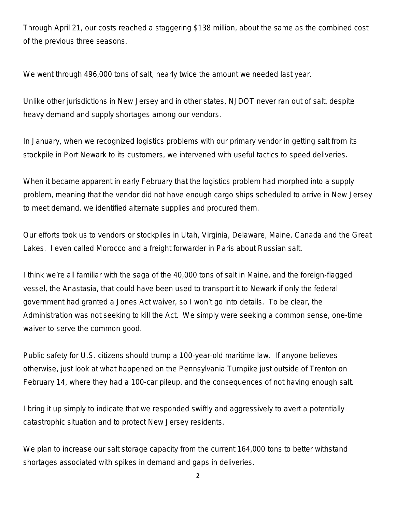Through April 21, our costs reached a staggering \$138 million, about the same as the combined cost of the previous three seasons.

We went through 496,000 tons of salt, nearly twice the amount we needed last year.

Unlike other jurisdictions in New Jersey and in other states, NJDOT never ran out of salt, despite heavy demand and supply shortages among our vendors.

In January, when we recognized logistics problems with our primary vendor in getting salt from its stockpile in Port Newark to its customers, we intervened with useful tactics to speed deliveries.

When it became apparent in early February that the logistics problem had morphed into a supply problem, meaning that the vendor did not have enough cargo ships scheduled to arrive in New Jersey to meet demand, we identified alternate supplies and procured them.

Our efforts took us to vendors or stockpiles in Utah, Virginia, Delaware, Maine, Canada and the Great Lakes. I even called Morocco and a freight forwarder in Paris about Russian salt.

I think we're all familiar with the saga of the 40,000 tons of salt in Maine, and the foreign-flagged vessel, the Anastasia, that could have been used to transport it to Newark if only the federal government had granted a Jones Act waiver, so I won't go into details. To be clear, the Administration was not seeking to kill the Act. We simply were seeking a common sense, one-time waiver to serve the common good.

Public safety for U.S. citizens should trump a 100-year-old maritime law. If anyone believes otherwise, just look at what happened on the Pennsylvania Turnpike just outside of Trenton on February 14, where they had a 100-car pileup, and the consequences of not having enough salt.

I bring it up simply to indicate that we responded swiftly and aggressively to avert a potentially catastrophic situation and to protect New Jersey residents.

We plan to increase our salt storage capacity from the current 164,000 tons to better withstand shortages associated with spikes in demand and gaps in deliveries.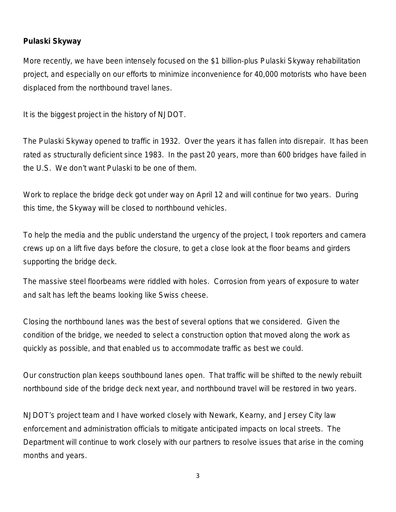#### **Pulaski Skyway**

More recently, we have been intensely focused on the \$1 billion-plus Pulaski Skyway rehabilitation project, and especially on our efforts to minimize inconvenience for 40,000 motorists who have been displaced from the northbound travel lanes.

It is the biggest project in the history of NJDOT.

The Pulaski Skyway opened to traffic in 1932. Over the years it has fallen into disrepair. It has been rated as structurally deficient since 1983. In the past 20 years, more than 600 bridges have failed in the U.S. We don't want Pulaski to be one of them.

Work to replace the bridge deck got under way on April 12 and will continue for two years. During this time, the Skyway will be closed to northbound vehicles.

To help the media and the public understand the urgency of the project, I took reporters and camera crews up on a lift five days before the closure, to get a close look at the floor beams and girders supporting the bridge deck.

The massive steel floorbeams were riddled with holes. Corrosion from years of exposure to water and salt has left the beams looking like Swiss cheese.

Closing the northbound lanes was the best of several options that we considered. Given the condition of the bridge, we needed to select a construction option that moved along the work as quickly as possible, and that enabled us to accommodate traffic as best we could.

Our construction plan keeps southbound lanes open. That traffic will be shifted to the newly rebuilt northbound side of the bridge deck next year, and northbound travel will be restored in two years.

NJDOT's project team and I have worked closely with Newark, Kearny, and Jersey City law enforcement and administration officials to mitigate anticipated impacts on local streets. The Department will continue to work closely with our partners to resolve issues that arise in the coming months and years.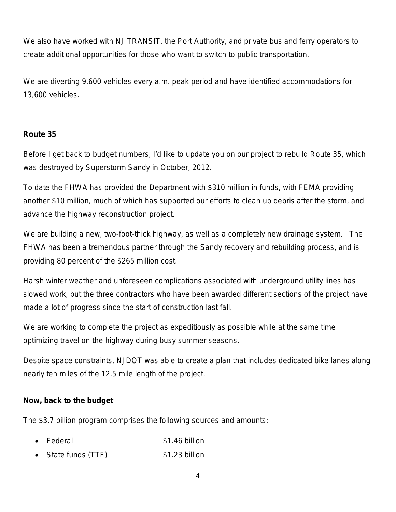We also have worked with NJ TRANSIT, the Port Authority, and private bus and ferry operators to create additional opportunities for those who want to switch to public transportation.

We are diverting 9,600 vehicles every a.m. peak period and have identified accommodations for 13,600 vehicles.

## **Route 35**

Before I get back to budget numbers, I'd like to update you on our project to rebuild Route 35, which was destroyed by Superstorm Sandy in October, 2012.

To date the FHWA has provided the Department with \$310 million in funds, with FEMA providing another \$10 million, much of which has supported our efforts to clean up debris after the storm, and advance the highway reconstruction project.

We are building a new, two-foot-thick highway, as well as a completely new drainage system. The FHWA has been a tremendous partner through the Sandy recovery and rebuilding process, and is providing 80 percent of the \$265 million cost.

Harsh winter weather and unforeseen complications associated with underground utility lines has slowed work, but the three contractors who have been awarded different sections of the project have made a lot of progress since the start of construction last fall.

We are working to complete the project as expeditiously as possible while at the same time optimizing travel on the highway during busy summer seasons.

Despite space constraints, NJDOT was able to create a plan that includes dedicated bike lanes along nearly ten miles of the 12.5 mile length of the project.

#### **Now, back to the budget**

The \$3.7 billion program comprises the following sources and amounts:

- Federal \$1.46 billion
- State funds (TTF) \$1.23 billion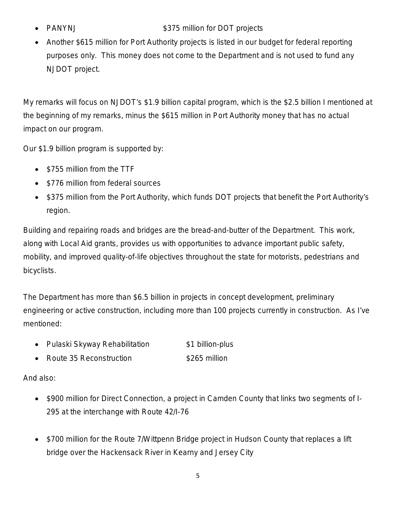## PANYNJ **\$375 million for DOT projects**

• Another \$615 million for Port Authority projects is listed in our budget for federal reporting purposes only. This money does not come to the Department and is not used to fund any NJDOT project.

My remarks will focus on NJDOT's \$1.9 billion capital program, which is the \$2.5 billion I mentioned at the beginning of my remarks, minus the \$615 million in Port Authority money that has no actual impact on our program.

Our \$1.9 billion program is supported by:

- \$755 million from the TTF
- \$776 million from federal sources
- \$375 million from the Port Authority, which funds DOT projects that benefit the Port Authority's region.

Building and repairing roads and bridges are the bread-and-butter of the Department. This work, along with Local Aid grants, provides us with opportunities to advance important public safety, mobility, and improved quality-of-life objectives throughout the state for motorists, pedestrians and bicyclists.

The Department has more than \$6.5 billion in projects in concept development, preliminary engineering or active construction, including more than 100 projects currently in construction. As I've mentioned:

- Pulaski Skyway Rehabilitation  $$1$  billion-plus
- Route 35 Reconstruction \$265 million

And also:

- \$900 million for Direct Connection, a project in Camden County that links two segments of I-295 at the interchange with Route 42/I-76
- \$700 million for the Route 7/Wittpenn Bridge project in Hudson County that replaces a lift bridge over the Hackensack River in Kearny and Jersey City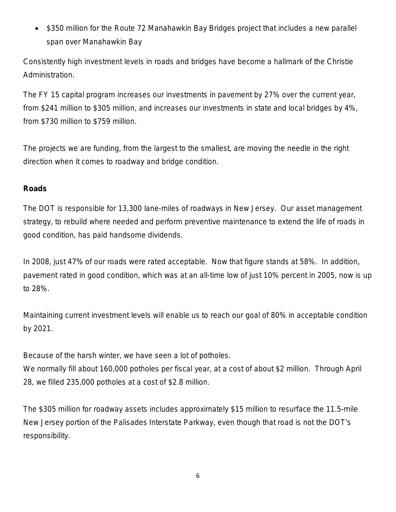\$350 million for the Route 72 Manahawkin Bay Bridges project that includes a new parallel span over Manahawkin Bay

Consistently high investment levels in roads and bridges have become a hallmark of the Christie Administration.

The FY 15 capital program increases our investments in pavement by 27% over the current year, from \$241 million to \$305 million, and increases our investments in state and local bridges by 4%, from \$730 million to \$759 million.

The projects we are funding, from the largest to the smallest, are moving the needle in the right direction when it comes to roadway and bridge condition.

## **Roads**

The DOT is responsible for 13,300 lane-miles of roadways in New Jersey. Our asset management strategy, to rebuild where needed and perform preventive maintenance to extend the life of roads in good condition, has paid handsome dividends.

In 2008, just 47% of our roads were rated acceptable. Now that figure stands at 58%. In addition, pavement rated in good condition, which was at an all-time low of just 10% percent in 2005, now is up to 28%.

Maintaining current investment levels will enable us to reach our goal of 80% in acceptable condition by 2021.

Because of the harsh winter, we have seen a lot of potholes.

We normally fill about 160,000 potholes per fiscal year, at a cost of about \$2 million. Through April 28, we filled 235,000 potholes at a cost of \$2.8 million.

The \$305 million for roadway assets includes approximately \$15 million to resurface the 11.5-mile New Jersey portion of the Palisades Interstate Parkway, even though that road is not the DOT's responsibility.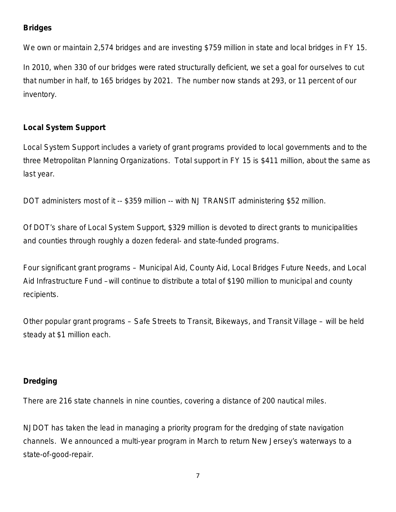# **Bridges**

We own or maintain 2,574 bridges and are investing \$759 million in state and local bridges in FY 15.

In 2010, when 330 of our bridges were rated structurally deficient, we set a goal for ourselves to cut that number in half, to 165 bridges by 2021. The number now stands at 293, or 11 percent of our inventory.

## **Local System Support**

Local System Support includes a variety of grant programs provided to local governments and to the three Metropolitan Planning Organizations. Total support in FY 15 is \$411 million, about the same as last year.

DOT administers most of it -- \$359 million -- with NJ TRANSIT administering \$52 million.

Of DOT's share of Local System Support, \$329 million is devoted to direct grants to municipalities and counties through roughly a dozen federal- and state-funded programs.

Four significant grant programs – Municipal Aid, County Aid, Local Bridges Future Needs, and Local Aid Infrastructure Fund –will continue to distribute a total of \$190 million to municipal and county recipients.

Other popular grant programs – Safe Streets to Transit, Bikeways, and Transit Village – will be held steady at \$1 million each.

# **Dredging**

There are 216 state channels in nine counties, covering a distance of 200 nautical miles.

NJDOT has taken the lead in managing a priority program for the dredging of state navigation channels. We announced a multi-year program in March to return New Jersey's waterways to a state-of-good-repair.